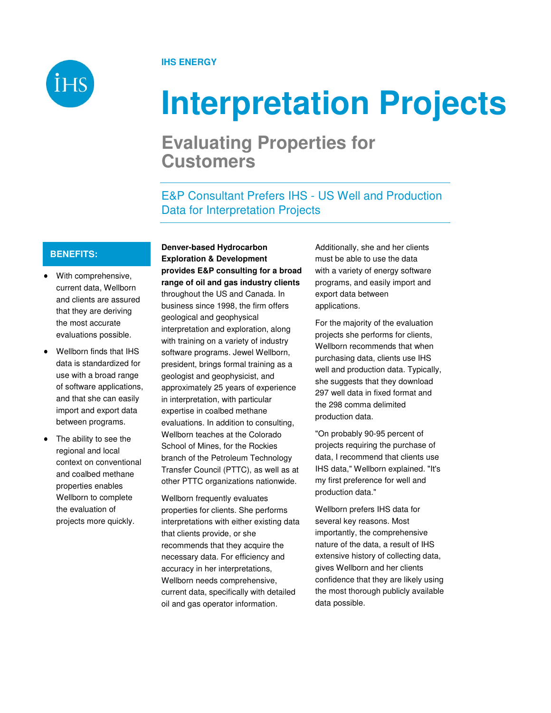

# **IHS ENERGY**

# **Interpretation Projects**

# **Evaluating Properties for Customers**

E&P Consultant Prefers IHS - US Well and Production Data for Interpretation Projects

### **BENEFITS:**

- With comprehensive, current data, Wellborn and clients are assured that they are deriving the most accurate evaluations possible.
- Wellborn finds that IHS data is standardized for use with a broad range of software applications, and that she can easily import and export data between programs.
- The ability to see the regional and local context on conventional and coalbed methane properties enables Wellborn to complete the evaluation of projects more quickly.

**Denver-based Hydrocarbon Exploration & Development provides E&P consulting for a broad range of oil and gas industry clients**  throughout the US and Canada. In business since 1998, the firm offers geological and geophysical interpretation and exploration, along with training on a variety of industry software programs. Jewel Wellborn, president, brings formal training as a geologist and geophysicist, and approximately 25 years of experience in interpretation, with particular expertise in coalbed methane evaluations. In addition to consulting, Wellborn teaches at the Colorado School of Mines, for the Rockies branch of the Petroleum Technology Transfer Council (PTTC), as well as at other PTTC organizations nationwide.

Wellborn frequently evaluates properties for clients. She performs interpretations with either existing data that clients provide, or she recommends that they acquire the necessary data. For efficiency and accuracy in her interpretations, Wellborn needs comprehensive, current data, specifically with detailed oil and gas operator information.

Additionally, she and her clients must be able to use the data with a variety of energy software programs, and easily import and export data between applications.

For the majority of the evaluation projects she performs for clients, Wellborn recommends that when purchasing data, clients use IHS well and production data. Typically, she suggests that they download 297 well data in fixed format and the 298 comma delimited production data.

"On probably 90-95 percent of projects requiring the purchase of data, I recommend that clients use IHS data," Wellborn explained. "It's my first preference for well and production data."

Wellborn prefers IHS data for several key reasons. Most importantly, the comprehensive nature of the data, a result of IHS extensive history of collecting data, gives Wellborn and her clients confidence that they are likely using the most thorough publicly available data possible.